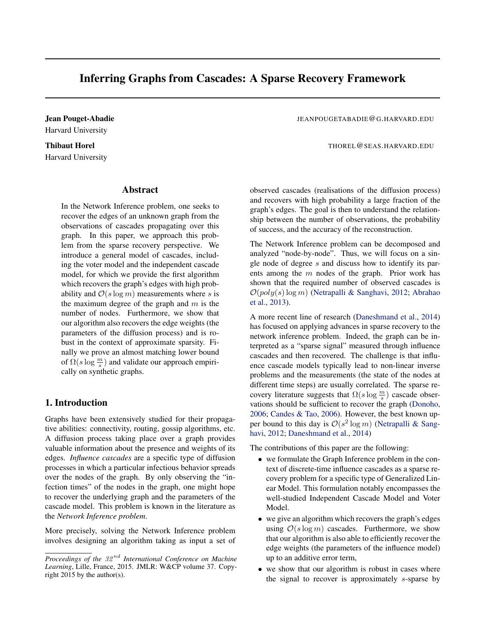# Inferring Graphs from Cascades: A Sparse Recovery Framework

Harvard University

# Harvard University

# Abstract

In the Network Inference problem, one seeks to recover the edges of an unknown graph from the observations of cascades propagating over this graph. In this paper, we approach this problem from the sparse recovery perspective. We introduce a general model of cascades, including the voter model and the independent cascade model, for which we provide the first algorithm which recovers the graph's edges with high probability and  $\mathcal{O}(s \log m)$  measurements where s is the maximum degree of the graph and  $m$  is the number of nodes. Furthermore, we show that our algorithm also recovers the edge weights (the parameters of the diffusion process) and is robust in the context of approximate sparsity. Finally we prove an almost matching lower bound of  $\Omega(s \log \frac{m}{s})$  and validate our approach empirically on synthetic graphs.

# 1. Introduction

Graphs have been extensively studied for their propagative abilities: connectivity, routing, gossip algorithms, etc. A diffusion process taking place over a graph provides valuable information about the presence and weights of its edges. *Influence cascades* are a specific type of diffusion processes in which a particular infectious behavior spreads over the nodes of the graph. By only observing the "infection times" of the nodes in the graph, one might hope to recover the underlying graph and the parameters of the cascade model. This problem is known in the literature as the *Network Inference problem*.

More precisely, solving the Network Inference problem involves designing an algorithm taking as input a set of

Jean Pouget-Abadie JEANPOUGETABADIE@G.HARVARD.EDU

Thibaut Horel The Communication of the Communication of the Thore Communication of the Thore Communication of the Thore Communication of the Thore Communication of the Thore Communication of the Thore Communication of the

observed cascades (realisations of the diffusion process) and recovers with high probability a large fraction of the graph's edges. The goal is then to understand the relationship between the number of observations, the probability of success, and the accuracy of the reconstruction.

The Network Inference problem can be decomposed and analyzed "node-by-node". Thus, we will focus on a single node of degree s and discuss how to identify its parents among the  $m$  nodes of the graph. Prior work has shown that the required number of observed cascades is  $\mathcal{O}(poly(s) \log m)$  [\(Netrapalli & Sanghavi,](#page-9-0) [2012;](#page-9-0) [Abrahao](#page-8-0) [et al.,](#page-8-0) [2013\)](#page-8-0).

A more recent line of research [\(Daneshmand et al.,](#page-8-0) [2014\)](#page-8-0) has focused on applying advances in sparse recovery to the network inference problem. Indeed, the graph can be interpreted as a "sparse signal" measured through influence cascades and then recovered. The challenge is that influence cascade models typically lead to non-linear inverse problems and the measurements (the state of the nodes at different time steps) are usually correlated. The sparse recovery literature suggests that  $\Omega(s \log \frac{m}{s})$  cascade observations should be sufficient to recover the graph [\(Donoho,](#page-8-0) [2006;](#page-8-0) [Candes & Tao,](#page-8-0) [2006\)](#page-8-0). However, the best known upper bound to this day is  $\mathcal{O}(s^2 \log m)$  [\(Netrapalli & Sang](#page-9-0)[havi,](#page-9-0) [2012;](#page-9-0) [Daneshmand et al.,](#page-8-0) [2014\)](#page-8-0)

The contributions of this paper are the following:

- we formulate the Graph Inference problem in the context of discrete-time influence cascades as a sparse recovery problem for a specific type of Generalized Linear Model. This formulation notably encompasses the well-studied Independent Cascade Model and Voter Model.
- we give an algorithm which recovers the graph's edges using  $\mathcal{O}(s \log m)$  cascades. Furthermore, we show that our algorithm is also able to efficiently recover the edge weights (the parameters of the influence model) up to an additive error term,
- we show that our algorithm is robust in cases where the signal to recover is approximately s-sparse by

*Proceedings of the* 32 nd *International Conference on Machine Learning*, Lille, France, 2015. JMLR: W&CP volume 37. Copyright 2015 by the author(s).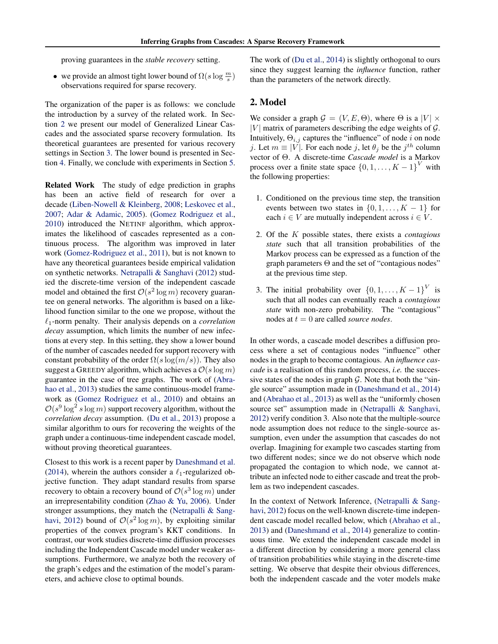proving guarantees in the *stable recovery* setting.

• we provide an almost tight lower bound of  $\Omega(s \log \frac{m}{s})$ observations required for sparse recovery.

The organization of the paper is as follows: we conclude the introduction by a survey of the related work. In Section 2 we present our model of Generalized Linear Cascades and the associated sparse recovery formulation. Its theoretical guarantees are presented for various recovery settings in Section [3.](#page-4-0) The lower bound is presented in Section [4.](#page-6-0) Finally, we conclude with experiments in Section [5.](#page-6-0)

Related Work The study of edge prediction in graphs has been an active field of research for over a decade [\(Liben-Nowell & Kleinberg,](#page-9-0) [2008;](#page-9-0) [Leskovec et al.,](#page-8-0) [2007;](#page-8-0) [Adar & Adamic,](#page-8-0) [2005\)](#page-8-0). [\(Gomez Rodriguez et al.,](#page-8-0) [2010\)](#page-8-0) introduced the NETINF algorithm, which approximates the likelihood of cascades represented as a continuous process. The algorithm was improved in later work [\(Gomez-Rodriguez et al.,](#page-8-0) [2011\)](#page-8-0), but is not known to have any theoretical guarantees beside empirical validation on synthetic networks. [Netrapalli & Sanghavi](#page-9-0) [\(2012\)](#page-9-0) studied the discrete-time version of the independent cascade model and obtained the first  $\mathcal{O}(s^2 \log m)$  recovery guarantee on general networks. The algorithm is based on a likelihood function similar to the one we propose, without the  $\ell_1$ -norm penalty. Their analysis depends on a *correlation decay* assumption, which limits the number of new infections at every step. In this setting, they show a lower bound of the number of cascades needed for support recovery with constant probability of the order  $\Omega(s \log(m/s))$ . They also suggest a GREEDY algorithm, which achieves a  $\mathcal{O}(s \log m)$ guarantee in the case of tree graphs. The work of [\(Abra](#page-8-0)[hao et al.,](#page-8-0) [2013\)](#page-8-0) studies the same continuous-model framework as [\(Gomez Rodriguez et al.,](#page-8-0) [2010\)](#page-8-0) and obtains an  $\mathcal{O}(s^9 \log^2 s \log m)$  support recovery algorithm, without the *correlation decay* assumption. [\(Du et al.,](#page-8-0) [2013\)](#page-8-0) propose a similar algorithm to ours for recovering the weights of the graph under a continuous-time independent cascade model, without proving theoretical guarantees.

Closest to this work is a recent paper by [Daneshmand et al.](#page-8-0) [\(2014\)](#page-8-0), wherein the authors consider a  $\ell_1$ -regularized objective function. They adapt standard results from sparse recovery to obtain a recovery bound of  $\mathcal{O}(s^3 \log m)$  under an irrepresentability condition [\(Zhao & Yu,](#page-9-0) [2006\)](#page-9-0). Under stronger assumptions, they match the [\(Netrapalli & Sang](#page-9-0)[havi,](#page-9-0) [2012\)](#page-9-0) bound of  $\mathcal{O}(s^2 \log m)$ , by exploiting similar properties of the convex program's KKT conditions. In contrast, our work studies discrete-time diffusion processes including the Independent Cascade model under weaker assumptions. Furthermore, we analyze both the recovery of the graph's edges and the estimation of the model's parameters, and achieve close to optimal bounds.

The work of [\(Du et al.,](#page-8-0) [2014\)](#page-8-0) is slightly orthogonal to ours since they suggest learning the *influence* function, rather than the parameters of the network directly.

# 2. Model

We consider a graph  $G = (V, E, \Theta)$ , where  $\Theta$  is a  $|V| \times$ |V| matrix of parameters describing the edge weights of  $\mathcal{G}$ . Intuitively,  $\Theta_{i,j}$  captures the "influence" of node i on node j. Let  $m \equiv |V|$ . For each node j, let  $\theta_j$  be the  $j^{th}$  column vector of Θ. A discrete-time *Cascade model* is a Markov process over a finite state space  $\{0, 1, \ldots, K-1\}^V$  with the following properties:

- 1. Conditioned on the previous time step, the transition events between two states in  $\{0, 1, \ldots, K - 1\}$  for each  $i \in V$  are mutually independent across  $i \in V$ .
- 2. Of the K possible states, there exists a *contagious state* such that all transition probabilities of the Markov process can be expressed as a function of the graph parameters  $\Theta$  and the set of "contagious nodes" at the previous time step.
- 3. The initial probability over  $\{0, 1, \ldots, K-1\}^V$  is such that all nodes can eventually reach a *contagious state* with non-zero probability. The "contagious" nodes at t = 0 are called *source nodes*.

In other words, a cascade model describes a diffusion process where a set of contagious nodes "influence" other nodes in the graph to become contagious. An *influence cascade* is a realisation of this random process, *i.e.* the successive states of the nodes in graph  $G$ . Note that both the "single source" assumption made in [\(Daneshmand et al.,](#page-8-0) [2014\)](#page-8-0) and [\(Abrahao et al.,](#page-8-0) [2013\)](#page-8-0) as well as the "uniformly chosen source set" assumption made in [\(Netrapalli & Sanghavi,](#page-9-0) [2012\)](#page-9-0) verify condition 3. Also note that the multiple-source node assumption does not reduce to the single-source assumption, even under the assumption that cascades do not overlap. Imagining for example two cascades starting from two different nodes; since we do not observe which node propagated the contagion to which node, we cannot attribute an infected node to either cascade and treat the problem as two independent cascades.

In the context of Network Inference, [\(Netrapalli & Sang](#page-9-0)[havi,](#page-9-0) [2012\)](#page-9-0) focus on the well-known discrete-time independent cascade model recalled below, which [\(Abrahao et al.,](#page-8-0) [2013\)](#page-8-0) and [\(Daneshmand et al.,](#page-8-0) [2014\)](#page-8-0) generalize to continuous time. We extend the independent cascade model in a different direction by considering a more general class of transition probabilities while staying in the discrete-time setting. We observe that despite their obvious differences, both the independent cascade and the voter models make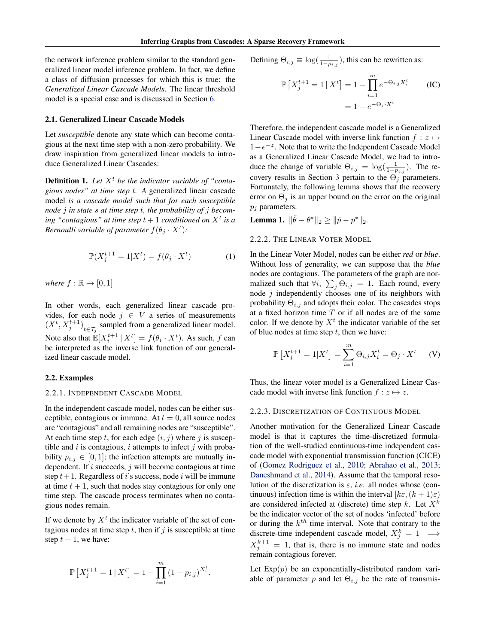<span id="page-2-0"></span>the network inference problem similar to the standard generalized linear model inference problem. In fact, we define a class of diffusion processes for which this is true: the *Generalized Linear Cascade Models*. The linear threshold model is a special case and is discussed in Section [6.](#page-7-0)

#### 2.1. Generalized Linear Cascade Models

Let *susceptible* denote any state which can become contagious at the next time step with a non-zero probability. We draw inspiration from generalized linear models to introduce Generalized Linear Cascades:

**Definition 1.** Let  $X<sup>t</sup>$  be the indicator variable of "conta*gious nodes" at time step* t*. A* generalized linear cascade model *is a cascade model such that for each susceptible node* j *in state* s *at time step* t*, the probability of* j *becom-* $\int$ *ing "contagious" at time step*  $t + 1$  *conditioned on*  $X^t$  *is a Bernoulli variable of parameter*  $f(\theta_j \cdot X^t)$ :

$$
\mathbb{P}(X_j^{t+1} = 1 | X^t) = f(\theta_j \cdot X^t)
$$
 (1)

*where*  $f : \mathbb{R} \to [0,1]$ 

In other words, each generalized linear cascade provides, for each node  $j \in V$  a series of measurements  $(X^t, X_j^{t+1})_{t \in \mathcal{T}_j}$  sampled from a generalized linear model. Note also that  $\mathbb{E}[X_i^{t+1} | X^t] = f(\theta_i \cdot X^t)$ . As such, f can be interpreted as the inverse link function of our generalized linear cascade model.

#### 2.2. Examples

#### 2.2.1. INDEPENDENT CASCADE MODEL

In the independent cascade model, nodes can be either susceptible, contagious or immune. At  $t = 0$ , all source nodes are "contagious" and all remaining nodes are "susceptible". At each time step t, for each edge  $(i, j)$  where j is susceptible and  $i$  is contagious,  $i$  attempts to infect  $j$  with probability  $p_{i,j} \in [0,1]$ ; the infection attempts are mutually independent. If  $i$  succeeds,  $j$  will become contagious at time step  $t + 1$ . Regardless of i's success, node i will be immune at time  $t + 1$ , such that nodes stay contagious for only one time step. The cascade process terminates when no contagious nodes remain.

If we denote by  $X<sup>t</sup>$  the indicator variable of the set of contagious nodes at time step t, then if  $j$  is susceptible at time step  $t + 1$ , we have:

$$
\mathbb{P}\left[X_j^{t+1} = 1 \,|\, X^t\right] = 1 - \prod_{i=1}^m \left(1 - p_{i,j}\right)^{X_i^t}.
$$

Defining  $\Theta_{i,j} \equiv \log(\frac{1}{1-p_{i,j}})$ , this can be rewritten as:

$$
\mathbb{P}\left[X_j^{t+1} = 1 \mid X^t\right] = 1 - \prod_{i=1}^m e^{-\Theta_{i,j} X_i^t}
$$
 (IC)  
= 
$$
1 - e^{-\Theta_j \cdot X^t}
$$

Therefore, the independent cascade model is a Generalized Linear Cascade model with inverse link function  $f : z \mapsto$ 1 –  $e^{-z}$ . Note that to write the Independent Cascade Model as a Generalized Linear Cascade Model, we had to introduce the change of variable  $\Theta_{i,j} = \log(\frac{1}{1-p_{i,j}})$ . The re-covery results in Section [3](#page-4-0) pertain to the  $\Theta_j$  parameters. Fortunately, the following lemma shows that the recovery error on  $\Theta_i$  is an upper bound on the error on the original  $p_i$  parameters.

**Lemma 1.**  $\|\hat{\theta} - \theta^*\|_2 \ge \|\hat{p} - p^*\|_2$ .

#### 2.2.2. THE LINEAR VOTER MODEL

In the Linear Voter Model, nodes can be either *red* or *blue*. Without loss of generality, we can suppose that the *blue* nodes are contagious. The parameters of the graph are normalized such that  $\forall i, \sum_j \Theta_{i,j} = 1$ . Each round, every node  $j$  independently chooses one of its neighbors with probability  $\Theta_{i,j}$  and adopts their color. The cascades stops at a fixed horizon time  $T$  or if all nodes are of the same color. If we denote by  $X<sup>t</sup>$  the indicator variable of the set of blue nodes at time step  $t$ , then we have:

$$
\mathbb{P}\left[X_j^{t+1} = 1 | X^t\right] = \sum_{i=1}^m \Theta_{i,j} X_i^t = \Theta_j \cdot X^t \quad (V)
$$

Thus, the linear voter model is a Generalized Linear Cascade model with inverse link function  $f : z \mapsto z$ .

#### 2.2.3. DISCRETIZATION OF CONTINUOUS MODEL

Another motivation for the Generalized Linear Cascade model is that it captures the time-discretized formulation of the well-studied continuous-time independent cascade model with exponential transmission function (CICE) of [\(Gomez Rodriguez et al.,](#page-8-0) [2010;](#page-8-0) [Abrahao et al.,](#page-8-0) [2013;](#page-8-0) [Daneshmand et al.,](#page-8-0) [2014\)](#page-8-0). Assume that the temporal resolution of the discretization is  $\varepsilon$ , *i.e.* all nodes whose (continuous) infection time is within the interval  $[k\varepsilon,(k+1)\varepsilon]$ are considered infected at (discrete) time step k. Let  $X^k$ be the indicator vector of the set of nodes 'infected' before or during the  $k^{th}$  time interval. Note that contrary to the discrete-time independent cascade model,  $X_j^k = 1 \implies$  $X_j^{k+1} = 1$ , that is, there is no immune state and nodes remain contagious forever.

Let  $Exp(p)$  be an exponentially-distributed random variable of parameter p and let  $\Theta_{i,j}$  be the rate of transmis-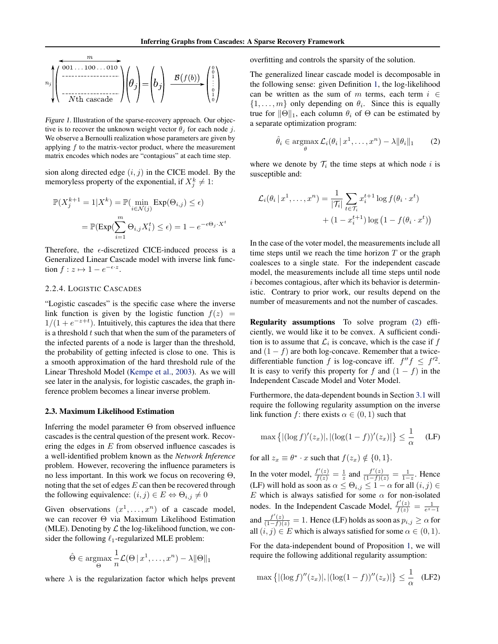<span id="page-3-0"></span>
$$
n_j \left( \begin{array}{c} m \\ \hline \hline 001 \dots 100 \dots 010 \\ \hline \hline \hline 011 \dots 0101 \dots 0101 \\ \hline \hline 011 \dots 0101 \dots 0101 \dots 0101 \dots 0101 \dots 0101 \dots 0101 \dots 0101 \dots 0101 \dots 0101 \dots 0101 \dots 0101 \dots 0101 \dots 0101 \dots 0101 \dots 0101 \dots 0101 \dots 0101 \dots 0101 \dots 0101 \dots 0101 \dots 0101 \dots 0101 \dots 0101 \dots 0101 \dots 0101 \dots 0101 \dots 0101 \dots 0101 \dots 0101 \dots 0101 \dots 0101 \dots 0101 \dots 0101 \dots 0101 \dots 0101 \dots 0101 \dots 0101 \dots 0101 \dots 0101 \dots 0101 \dots 0101 \dots 0101 \dots 0101 \dots 0101 \dots 0101 \dots 0101 \dots 0101 \dots 0101 \dots 0101 \dots 0101 \dots 0101 \dots 0101 \dots 0101 \dots 0101 \dots 0101 \dots 0101 \dots 0101 \dots 0101 \dots 0101 \dots 0101 \dots 0101 \dots 0101 \dots 0101 \dots 0101 \dots 0101 \dots 0101 \dots 0101 \dots 0101 \dots 0101 \dots 0101 \dots 0101 \dots 0101 \dots 0101 \dots 0101 \dots 0101 \dots 0101 \dots 0101 \dots 0101 \dots 0101 \dots 0101 \dots 0101 \dots 0101 \dots 0101 \dots 0101 \dots 0101 \dots 0101 \dots 0101 \dots 0101 \dots 0101 \dots 0101 \dots 0101 \dots 0101 \dots 0101 \dots 0101 \dots 0101 \dots 0101 \dots 0101 \dots 01
$$

Figure 1. Illustration of the sparse-recovery approach. Our objective is to recover the unknown weight vector  $\theta_i$  for each node j. We observe a Bernoulli realization whose parameters are given by applying  $f$  to the matrix-vector product, where the measurement matrix encodes which nodes are "contagious" at each time step.

sion along directed edge  $(i, j)$  in the CICE model. By the memoryless property of the exponential, if  $X_j^k \neq 1$ :

$$
\mathbb{P}(X_j^{k+1} = 1 | X^k) = \mathbb{P}(\min_{i \in \mathcal{N}(j)} \text{Exp}(\Theta_{i,j}) \le \epsilon)
$$

$$
= \mathbb{P}(\text{Exp}(\sum_{i=1}^m \Theta_{i,j} X_i^t) \le \epsilon) = 1 - e^{-\epsilon \Theta_j \cdot X^t}
$$

Therefore, the  $\epsilon$ -discretized CICE-induced process is a Generalized Linear Cascade model with inverse link function  $f : z \mapsto 1 - e^{-\epsilon \cdot z}$ .

#### 2.2.4. LOGISTIC CASCADES

"Logistic cascades" is the specific case where the inverse link function is given by the logistic function  $f(z)$  =  $1/(1+e^{-z+t})$ . Intuitively, this captures the idea that there is a threshold  $t$  such that when the sum of the parameters of the infected parents of a node is larger than the threshold, the probability of getting infected is close to one. This is a smooth approximation of the hard threshold rule of the Linear Threshold Model [\(Kempe et al.,](#page-8-0) [2003\)](#page-8-0). As we will see later in the analysis, for logistic cascades, the graph inference problem becomes a linear inverse problem.

#### 2.3. Maximum Likelihood Estimation

Inferring the model parameter  $\Theta$  from observed influence cascades is the central question of the present work. Recovering the edges in  $E$  from observed influence cascades is a well-identified problem known as the *Network Inference* problem. However, recovering the influence parameters is no less important. In this work we focus on recovering Θ, noting that the set of edges  $E$  can then be recovered through the following equivalence:  $(i, j) \in E \Leftrightarrow \Theta_{i,j} \neq 0$ 

Given observations  $(x^1, \ldots, x^n)$  of a cascade model, we can recover Θ via Maximum Likelihood Estimation (MLE). Denoting by  $\mathcal L$  the log-likelihood function, we consider the following  $\ell_1$ -regularized MLE problem:

$$
\hat{\Theta} \in \underset{\Theta}{\operatorname{argmax}} \frac{1}{n} \mathcal{L}(\Theta \, | \, x^1, \dots, x^n) - \lambda \|\Theta\|_1
$$

where  $\lambda$  is the regularization factor which helps prevent

overfitting and controls the sparsity of the solution.

The generalized linear cascade model is decomposable in the following sense: given Definition [1,](#page-2-0) the log-likelihood can be written as the sum of m terms, each term  $i \in$  $\{1, \ldots, m\}$  only depending on  $\theta_i$ . Since this is equally true for  $\|\Theta\|_1$ , each column  $\theta_i$  of  $\Theta$  can be estimated by a separate optimization program:

$$
\hat{\theta}_i \in \operatorname*{argmax}_{\theta} \mathcal{L}_i(\theta_i \,|\, x^1, \dots, x^n) - \lambda \|\theta_i\|_1 \qquad (2)
$$

where we denote by  $\mathcal{T}_i$  the time steps at which node i is susceptible and:

$$
\mathcal{L}_i(\theta_i \mid x^1, \dots, x^n) = \frac{1}{|\mathcal{T}_i|} \sum_{t \in \mathcal{T}_i} x_i^{t+1} \log f(\theta_i \cdot x^t)
$$

$$
+ (1 - x_i^{t+1}) \log (1 - f(\theta_i \cdot x^t))
$$

In the case of the voter model, the measurements include all time steps until we reach the time horizon  $T$  or the graph coalesces to a single state. For the independent cascade model, the measurements include all time steps until node i becomes contagious, after which its behavior is deterministic. Contrary to prior work, our results depend on the number of measurements and not the number of cascades.

Regularity assumptions To solve program [\(2\)](#page-2-0) efficiently, we would like it to be convex. A sufficient condition is to assume that  $\mathcal{L}_i$  is concave, which is the case if  $f$ and  $(1 - f)$  are both log-concave. Remember that a twicedifferentiable function f is log-concave iff.  $f''f \leq f'^2$ . It is easy to verify this property for f and  $(1 - f)$  in the Independent Cascade Model and Voter Model.

Furthermore, the data-dependent bounds in Section [3.1](#page-4-0) will require the following regularity assumption on the inverse link function f: there exists  $\alpha \in (0,1)$  such that

$$
\max \left\{ |(\log f)'(z_x)|, |(\log(1-f))'(z_x)| \right\} \le \frac{1}{\alpha} \quad \text{(LF)}
$$

for all  $z_x \equiv \theta^* \cdot x$  such that  $f(z_x) \notin \{0, 1\}.$ 

In the voter model,  $\frac{f'(z)}{f(z)} = \frac{1}{z}$  and  $\frac{f'(z)}{(1-f)(z)} = \frac{1}{1-z}$ . Hence (LF) will hold as soon as  $\alpha \leq \Theta_{i,j} \leq 1 - \alpha$  for all  $(i,j) \in$ E which is always satisfied for some  $\alpha$  for non-isolated nodes. In the Independent Cascade Model,  $\frac{f'(z)}{f(z)} = \frac{1}{e^z - 1}$ and  $\frac{f'(z)}{(1-f)(z)} = 1$ . Hence (LF) holds as soon as  $p_{i,j} \ge \alpha$  for all  $(i, j) \in E$  which is always satisfied for some  $\alpha \in (0, 1)$ .

For the data-independent bound of Proposition [1,](#page-5-0) we will require the following additional regularity assumption:

$$
\max \left\{ |(\log f)''(z_x)|, |(\log(1-f))''(z_x)| \right\} \le \frac{1}{\alpha} \quad \text{(LF2)}
$$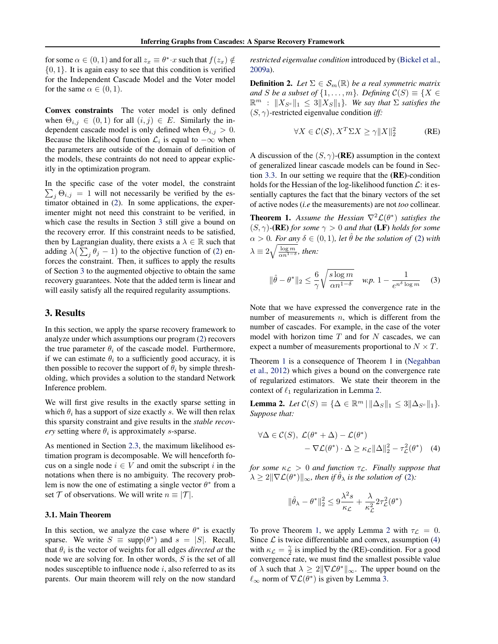<span id="page-4-0"></span>for some  $\alpha \in (0,1)$  and for all  $z_x \equiv \theta^* \cdot x$  such that  $f(z_x) \notin$  $\{0, 1\}$ . It is again easy to see that this condition is verified for the Independent Cascade Model and the Voter model for the same  $\alpha \in (0, 1)$ .

Convex constraints The voter model is only defined when  $\Theta_{i,j} \in (0,1)$  for all  $(i,j) \in E$ . Similarly the independent cascade model is only defined when  $\Theta_{i,j} > 0$ . Because the likelihood function  $\mathcal{L}_i$  is equal to  $-\infty$  when the parameters are outside of the domain of definition of the models, these contraints do not need to appear explicitly in the optimization program.

In the specific case of the voter model, the constraint  $\sum_j \Theta_{i,j} = 1$  will not necessarily be verified by the estimator obtained in [\(2\)](#page-2-0). In some applications, the experimenter might not need this constraint to be verified, in which case the results in Section 3 still give a bound on the recovery error. If this constraint needs to be satisfied, then by Lagrangian duality, there exists a  $\lambda \in \mathbb{R}$  such that adding  $\lambda(\sum_j \theta_j - 1)$  to the objective function of [\(2\)](#page-2-0) enforces the constraint. Then, it suffices to apply the results of Section 3 to the augmented objective to obtain the same recovery guarantees. Note that the added term is linear and will easily satisfy all the required regularity assumptions.

# 3. Results

In this section, we apply the sparse recovery framework to analyze under which assumptions our program [\(2\)](#page-2-0) recovers the true parameter  $\theta_i$  of the cascade model. Furthermore, if we can estimate  $\theta_i$  to a sufficiently good accuracy, it is then possible to recover the support of  $\theta_i$  by simple thresholding, which provides a solution to the standard Network Inference problem.

We will first give results in the exactly sparse setting in which  $\theta_i$  has a support of size exactly s. We will then relax this sparsity constraint and give results in the *stable recov* $ery$  setting where  $\theta_i$  is approximately s-sparse.

As mentioned in Section [2.3,](#page-3-0) the maximum likelihood estimation program is decomposable. We will henceforth focus on a single node  $i \in V$  and omit the subscript i in the notations when there is no ambiguity. The recovery problem is now the one of estimating a single vector  $\theta^*$  from a set  $\mathcal T$  of observations. We will write  $n \equiv |\mathcal T|$ .

#### 3.1. Main Theorem

In this section, we analyze the case where  $\theta^*$  is exactly sparse. We write  $S \equiv \text{supp}(\theta^*)$  and  $s = |S|$ . Recall, that  $\theta_i$  is the vector of weights for all edges *directed at* the node we are solving for. In other words, S is the set of all nodes susceptible to influence node  $i$ , also referred to as its parents. Our main theorem will rely on the now standard *restricted eigenvalue condition* introduced by [\(Bickel et al.,](#page-8-0) [2009a\)](#page-8-0).

**Definition 2.** *Let*  $\Sigma \in S_m(\mathbb{R})$  *be a real symmetric matrix and S be a subset of*  $\{1, \ldots, m\}$ *. Defining*  $C(S) \equiv \{X \in$  $\mathbb{R}^m$  :  $||X_{S^c}||_1 \leq 3||X_S||_1$ *. We say that*  $\Sigma$  *satisfies the*  $(S, \gamma)$ -restricted eigenvalue condition *iff*:

$$
\forall X \in \mathcal{C}(\mathcal{S}), X^T \Sigma X \ge \gamma \|X\|_2^2 \tag{RE}
$$

A discussion of the  $(S, \gamma)$ -(RE) assumption in the context of generalized linear cascade models can be found in Section [3.3.](#page-5-0) In our setting we require that the (RE)-condition holds for the Hessian of the log-likelihood function  $\mathcal{L}$ : it essentially captures the fact that the binary vectors of the set of active nodes (*i.e* the measurements) are not *too* collinear.

**Theorem 1.** Assume the Hessian  $\nabla^2 \mathcal{L}(\theta^*)$  satisfies the  $(S, \gamma)$ **-(RE)** *for some*  $\gamma > 0$  *and that* (LF) *holds for some*  $\alpha > 0$ *. For any*  $\delta \in (0, 1)$ *, let*  $\hat{\theta}$  *be the solution of* [\(2\)](#page-2-0) *with*  $\lambda \equiv 2 \sqrt{\frac{\log m}{\alpha n^{1-\delta}}}$ , then:

$$
\|\hat{\theta} - \theta^*\|_2 \le \frac{6}{\gamma} \sqrt{\frac{s \log m}{\alpha n^{1-\delta}}} \quad \text{w.p. } 1 - \frac{1}{e^{n^{\delta} \log m}} \quad (3)
$$

Note that we have expressed the convergence rate in the number of measurements  $n$ , which is different from the number of cascades. For example, in the case of the voter model with horizon time  $T$  and for  $N$  cascades, we can expect a number of measurements proportional to  $N \times T$ .

Theorem 1 is a consequence of Theorem 1 in [\(Negahban](#page-9-0) [et al.,](#page-9-0) [2012\)](#page-9-0) which gives a bound on the convergence rate of regularized estimators. We state their theorem in the context of  $\ell_1$  regularization in Lemma 2.

Lemma 2. *Let*  $C(S) \equiv {\{\Delta \in \mathbb{R}^m \mid ||\Delta_S||_1 \leq 3||\Delta_{S^c}||_1\}}.$ *Suppose that:*

$$
\forall \Delta \in \mathcal{C}(S), \ \mathcal{L}(\theta^* + \Delta) - \mathcal{L}(\theta^*)
$$
  
- 
$$
\nabla \mathcal{L}(\theta^*) \cdot \Delta \ge \kappa_{\mathcal{L}} ||\Delta||_2^2 - \tau_{\mathcal{L}}^2(\theta^*) \quad (4)
$$

*for some*  $\kappa_{\mathcal{L}} > 0$  *and function*  $\tau_{\mathcal{L}}$ *. Finally suppose that*  $\lambda \geq 2\|\nabla \mathcal{L}(\theta^*)\|_{\infty}$ , then if  $\hat{\theta}_{\lambda}$  is the solution of [\(2\)](#page-2-0):

$$
\|\hat{\theta}_{\lambda}-\theta^*\|_2^2 \leq 9\frac{\lambda^2 s}{\kappa_{\mathcal{L}}} + \frac{\lambda}{\kappa_{\mathcal{L}}^2} 2\tau_{\mathcal{L}}^2(\theta^*)
$$

To prove Theorem 1, we apply Lemma 2 with  $\tau_{\mathcal{L}} = 0$ . Since  $\mathcal L$  is twice differentiable and convex, assumption (4) with  $\kappa_{\mathcal{L}} = \frac{\gamma}{2}$  is implied by the (RE)-condition. For a good convergence rate, we must find the smallest possible value of  $\lambda$  such that  $\lambda \geq 2\|\nabla \mathcal{L} \theta^*\|_{\infty}$ . The upper bound on the  $\ell_{\infty}$  norm of  $\nabla \mathcal{L}(\theta^*)$  is given by Lemma 3.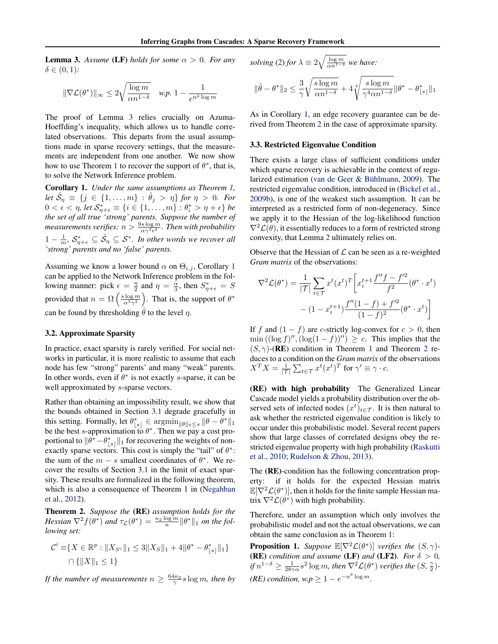<span id="page-5-0"></span>**Lemma 3.** Assume (LF) holds for some  $\alpha > 0$ . For any  $\delta \in (0,1)$ :

$$
\|\nabla \mathcal{L}(\theta^*)\|_\infty \leq 2\sqrt{\frac{\log m}{\alpha n^{1-\delta}}} \quad \text{w.p. } 1 - \frac{1}{e^{n^\delta \log m}}
$$

The proof of Lemma [3](#page-4-0) relies crucially on Azuma-Hoeffding's inequality, which allows us to handle correlated observations. This departs from the usual assumptions made in sparse recovery settings, that the measurements are independent from one another. We now show how to use Theorem [1](#page-4-0) to recover the support of  $\theta^*$ , that is, to solve the Network Inference problem.

Corollary 1. *Under the same assumptions as Theorem [1,](#page-4-0)* Let  $\hat{\mathcal{S}}_{\eta} \equiv \{j \in \{1, \ldots, m\} : \hat{\theta}_j > \eta\}$  for  $\eta > 0$ *. For*  $0 < \epsilon < \eta$ , let  $\mathcal{S}_{\eta+\epsilon}^* \equiv \{i \in \{1, \ldots, m\} : \theta_i^* > \eta + \epsilon\}$  be *the set of all true 'strong' parents. Suppose the number of* measurements verifies:  $n > \frac{9s \log m}{\alpha \gamma^2 \epsilon^2}$ . Then with probability  $1 - \frac{1}{m}$ ,  $S_{\eta + \epsilon}^* \subseteq \hat{S}_{\eta} \subseteq \mathcal{S}^*$ . In other words we recover all *'strong' parents and no 'false' parents.*

Assuming we know a lower bound  $\alpha$  on  $\Theta_{i,j}$ , Corollary 1 can be applied to the Network Inference problem in the following manner: pick  $\epsilon = \frac{\eta}{2}$  and  $\eta = \frac{\alpha}{3}$ , then  $S^*_{\eta + \epsilon} = S$ provided that  $n = \Omega\left(\frac{s \log m}{\alpha^3 \gamma^2}\right)$ . That is, the support of  $\theta^*$ can be found by thresholding  $\hat{\theta}$  to the level  $\eta$ .

#### 3.2. Approximate Sparsity

In practice, exact sparsity is rarely verified. For social networks in particular, it is more realistic to assume that each node has few "strong" parents' and many "weak" parents. In other words, even if  $\theta^*$  is not exactly s-sparse, it can be well approximated by *s*-sparse vectors.

Rather than obtaining an impossibility result, we show that the bounds obtained in Section [3.1](#page-4-0) degrade gracefully in this setting. Formally, let  $\theta_{|s|}^* \in \operatorname{argmin}_{\|\theta\|_0 \leq s} \|\theta - \theta^*\|_1$ be the best s-approximation to  $\theta^*$ . Then we pay a cost proportional to  $\|\theta^* - \theta^*_{\lfloor s \rfloor}\|_1$  for recovering the weights of nonexactly sparse vectors. This cost is simply the "tail" of  $\theta^*$ : the sum of the  $m - s$  smallest coordinates of  $\theta^*$ . We recover the results of Section [3.1](#page-4-0) in the limit of exact sparsity. These results are formalized in the following theorem, which is also a consequence of Theorem 1 in [\(Negahban](#page-9-0) [et al.,](#page-9-0) [2012\)](#page-9-0).

Theorem 2. *Suppose the* (RE) *assumption holds for the Hessian*  $\nabla^2 f(\theta^*)$  *and*  $\tau_{\mathcal{L}}(\theta^*) = \frac{\kappa_2 \log m}{n} ||\theta^*||_1$  *on the following set:*

$$
\mathcal{C}' \equiv \{ X \in \mathbb{R}^p : \| X_{S^c} \|_1 \leq 3 \| X_S \|_1 + 4 \| \theta^* - \theta^*_{\lfloor s \rfloor} \|_1 \}
$$
  

$$
\cap \{ \| X \|_1 \leq 1 \}
$$

*If the number of measurements*  $n \geq \frac{64\kappa_2}{\gamma} s \log m$ , then by

solving (2) for 
$$
\lambda \equiv 2\sqrt{\frac{\log m}{\alpha n^{1-\delta}}}
$$
 we have:

$$
\|\hat{\theta}-\theta^*\|_2 \leq \frac{3}{\gamma} \sqrt{\frac{s\log m}{\alpha n^{1-\delta}}} + 4 \sqrt[4]{\frac{s\log m}{\gamma^4 \alpha n^{1-\delta}}} \|\theta^* - \theta^*_{\lfloor s \rfloor}\|_1
$$

As in Corollary 1, an edge recovery guarantee can be derived from Theorem 2 in the case of approximate sparsity.

#### 3.3. Restricted Eigenvalue Condition

There exists a large class of sufficient conditions under which sparse recovery is achievable in the context of regularized estimation [\(van de Geer & Bühlmann,](#page-9-0) [2009\)](#page-9-0). The restricted eigenvalue condition, introduced in [\(Bickel et al.,](#page-8-0) [2009b\)](#page-8-0), is one of the weakest such assumption. It can be interpreted as a restricted form of non-degeneracy. Since we apply it to the Hessian of the log-likelihood function  $\nabla^2 \mathcal{L}(\theta)$ , it essentially reduces to a form of restricted strong convexity, that Lemma [2](#page-4-0) ultimately relies on.

Observe that the Hessian of  $\mathcal L$  can be seen as a re-weighted *Gram matrix* of the observations:

$$
\nabla^2 \mathcal{L}(\theta^*) = \frac{1}{|\mathcal{T}|} \sum_{t \in \mathcal{T}} x^t (x^t)^T \left[ x_i^{t+1} \frac{f''f - f'^2}{f^2} (\theta^* \cdot x^t) - (1 - x_i^{t+1}) \frac{f''(1 - f) + f'^2}{(1 - f)^2} (\theta^* \cdot x^t) \right]
$$

If f and  $(1 - f)$  are c-strictly log-convex for  $c > 0$ , then  $\min((\log f)'', (\log(1-f))'') \geq c$ . This implies that the  $(S, \gamma)$ -(RE) condition in Theorem [1](#page-4-0) and Theorem 2 reduces to a condition on the *Gram matrix* of the observations  $X^T X = \frac{1}{|\mathcal{T}|} \sum_{t \in \mathcal{T}} x^t (x^t)^T$  for  $\gamma' \equiv \gamma \cdot c$ .

(RE) with high probability The Generalized Linear Cascade model yields a probability distribution over the observed sets of infected nodes  $(x^t)_{t \in \mathcal{T}}$ . It is then natural to ask whether the restricted eigenvalue condition is likely to occur under this probabilistic model. Several recent papers show that large classes of correlated designs obey the restricted eigenvalue property with high probability [\(Raskutti](#page-9-0) [et al.,](#page-9-0) [2010;](#page-9-0) [Rudelson & Zhou,](#page-9-0) [2013\)](#page-9-0).

The (RE)-condition has the following concentration property: if it holds for the expected Hessian matrix  $\mathbb{E}[\nabla^2 \mathcal{L}(\theta^*)]$ , then it holds for the finite sample Hessian matrix  $\nabla^2 \mathcal{L}(\theta^*)$  with high probability.

Therefore, under an assumption which only involves the probabilistic model and not the actual observations, we can obtain the same conclusion as in Theorem [1:](#page-4-0)

**Proposition 1.** *Suppose*  $\mathbb{E}[\nabla^2 \mathcal{L}(\theta^*)]$  *verifies the*  $(S, \gamma)$ -(RE) *condition and assume* (LF) *and* (LF2)*. For*  $\delta > 0$ *, if*  $n^{1-\delta} \ge \frac{1}{28\gamma\alpha}s^2\log m$ , then  $\nabla^2\mathcal{L}(\theta^*)$  verifies the  $(S, \frac{\gamma}{2})$ -*(RE) condition, w.p*  $\geq 1 - e^{-n^{\delta} \log m}$ .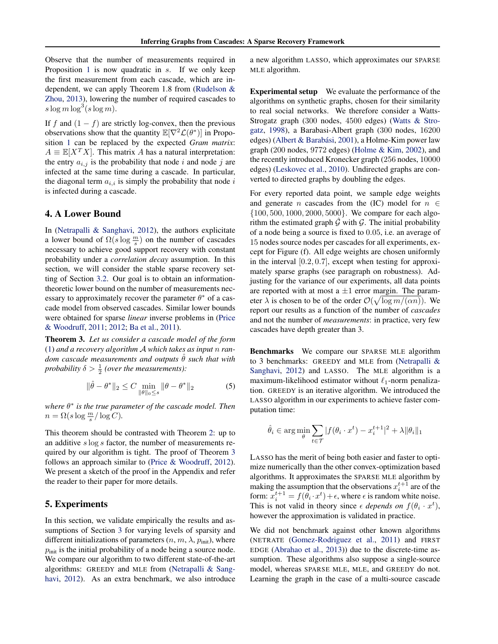<span id="page-6-0"></span>Observe that the number of measurements required in Proposition [1](#page-5-0) is now quadratic in s. If we only keep the first measurement from each cascade, which are independent, we can apply Theorem 1.8 from [\(Rudelson &](#page-9-0) [Zhou,](#page-9-0) [2013\)](#page-9-0), lowering the number of required cascades to  $s \log m \log^3(s \log m)$ .

If f and  $(1 - f)$  are strictly log-convex, then the previous observations show that the quantity  $\mathbb{E}[\nabla^2 \mathcal{L}(\theta^*)]$  in Proposition [1](#page-5-0) can be replaced by the expected *Gram matrix*:  $A \equiv \mathbb{E}[X^T X]$ . This matrix A has a natural interpretation: the entry  $a_{i,j}$  is the probability that node i and node j are infected at the same time during a cascade. In particular, the diagonal term  $a_{i,i}$  is simply the probability that node i is infected during a cascade.

# 4. A Lower Bound

In [\(Netrapalli & Sanghavi,](#page-9-0) [2012\)](#page-9-0), the authors explicitate a lower bound of  $\Omega(s \log \frac{m}{s})$  on the number of cascades necessary to achieve good support recovery with constant probability under a *correlation decay* assumption. In this section, we will consider the stable sparse recovery setting of Section [3.2.](#page-5-0) Our goal is to obtain an informationtheoretic lower bound on the number of measurements necessary to approximately recover the parameter  $\theta^*$  of a cascade model from observed cascades. Similar lower bounds were obtained for sparse *linear* inverse problems in [\(Price](#page-9-0) [& Woodruff,](#page-9-0) [2011;](#page-9-0) [2012;](#page-9-0) [Ba et al.,](#page-8-0) [2011\)](#page-8-0).

Theorem 3. *Let us consider a cascade model of the form* [\(1\)](#page-2-0) *and a recovery algorithm* A *which takes as input* n *random cascade measurements and outputs*  $\hat{\theta}$  *such that with probability*  $\delta > \frac{1}{2}$  (*over the measurements*):

$$
\|\hat{\theta} - \theta^*\|_2 \le C \min_{\|\theta\|_0 \le s} \|\theta - \theta^*\|_2
$$
 (5)

*where* θ ∗ *is the true parameter of the cascade model. Then*  $n = \Omega(s \log \frac{m}{s}/\log C)$ .

This theorem should be contrasted with Theorem [2:](#page-5-0) up to an additive s log s factor, the number of measurements required by our algorithm is tight. The proof of Theorem 3 follows an approach similar to [\(Price & Woodruff,](#page-9-0) [2012\)](#page-9-0). We present a sketch of the proof in the Appendix and refer the reader to their paper for more details.

# 5. Experiments

In this section, we validate empirically the results and assumptions of Section [3](#page-4-0) for varying levels of sparsity and different initializations of parameters  $(n, m, \lambda, p_{init})$ , where  $p<sub>init</sub>$  is the initial probability of a node being a source node. We compare our algorithm to two different state-of-the-art algorithms: GREEDY and MLE from [\(Netrapalli & Sang](#page-9-0)[havi,](#page-9-0) [2012\)](#page-9-0). As an extra benchmark, we also introduce a new algorithm LASSO, which approximates our SPARSE MLE algorithm.

Experimental setup We evaluate the performance of the algorithms on synthetic graphs, chosen for their similarity to real social networks. We therefore consider a Watts-Strogatz graph (300 nodes, 4500 edges) [\(Watts & Stro](#page-9-0)[gatz,](#page-9-0) [1998\)](#page-9-0), a Barabasi-Albert graph (300 nodes, 16200 edges) [\(Albert & Barabási,](#page-8-0) [2001\)](#page-8-0), a Holme-Kim power law graph (200 nodes, 9772 edges) [\(Holme & Kim,](#page-8-0) [2002\)](#page-8-0), and the recently introduced Kronecker graph (256 nodes, 10000 edges) [\(Leskovec et al.,](#page-8-0) [2010\)](#page-8-0). Undirected graphs are converted to directed graphs by doubling the edges.

For every reported data point, we sample edge weights and generate *n* cascades from the (IC) model for  $n \in$ {100, 500, 1000, 2000, 5000}. We compare for each algorithm the estimated graph  $G$  with  $G$ . The initial probability of a node being a source is fixed to 0.05, i.e. an average of 15 nodes source nodes per cascades for all experiments, except for Figure (f). All edge weights are chosen uniformly in the interval  $[0.2, 0.7]$ , except when testing for approximately sparse graphs (see paragraph on robustness). Adjusting for the variance of our experiments, all data points are reported with at most a  $\pm 1$  error margin. The parameter  $\lambda$  is chosen to be of the order  $\mathcal{O}(\sqrt{\log m/(\alpha n)})$ . We report our results as a function of the number of *cascades* and not the number of *measurements*: in practice, very few cascades have depth greater than 3.

Benchmarks We compare our SPARSE MLE algorithm to 3 benchmarks: GREEDY and MLE from [\(Netrapalli &](#page-9-0) [Sanghavi,](#page-9-0) [2012\)](#page-9-0) and LASSO. The MLE algorithm is a maximum-likelihood estimator without  $\ell_1$ -norm penalization. GREEDY is an iterative algorithm. We introduced the LASSO algorithm in our experiments to achieve faster computation time:

$$
\hat{\theta}_i \in \arg\min_{\theta} \sum_{t \in \mathcal{T}} |f(\theta_i \cdot x^t) - x_i^{t+1}|^2 + \lambda \|\theta_i\|_1
$$

LASSO has the merit of being both easier and faster to optimize numerically than the other convex-optimization based algorithms. It approximates the SPARSE MLE algorithm by making the assumption that the observations  $x_i^{t+1}$  are of the form:  $x_i^{t+1} = f(\theta_i \cdot x^t) + \epsilon$ , where  $\epsilon$  is random white noise. This is not valid in theory since  $\epsilon$  depends on  $f(\theta_i \cdot x^t)$ , however the approximation is validated in practice.

We did not benchmark against other known algorithms (NETRATE [\(Gomez-Rodriguez et al.,](#page-8-0) [2011\)](#page-8-0) and FIRST EDGE [\(Abrahao et al.,](#page-8-0) [2013\)](#page-8-0)) due to the discrete-time assumption. These algorithms also suppose a single-source model, whereas SPARSE MLE, MLE, and GREEDY do not. Learning the graph in the case of a multi-source cascade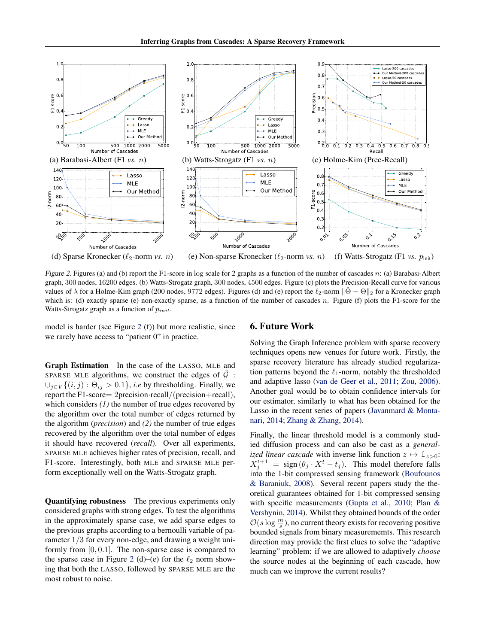<span id="page-7-0"></span>

Figure 2. Figures (a) and (b) report the F1-score in log scale for 2 graphs as a function of the number of cascades n: (a) Barabasi-Albert graph, 300 nodes, 16200 edges. (b) Watts-Strogatz graph, 300 nodes, 4500 edges. Figure (c) plots the Precision-Recall curve for various values of  $\lambda$  for a Holme-Kim graph (200 nodes, 9772 edges). Figures (d) and (e) report the  $\ell_2$ -norm  $\|\Theta - \Theta\|_2$  for a Kronecker graph which is: (d) exactly sparse (e) non-exactly sparse, as a function of the number of cascades n. Figure (f) plots the F1-score for the Watts-Strogatz graph as a function of  $p_{init}$ .

model is harder (see Figure 2 (f)) but more realistic, since we rarely have access to "patient 0" in practice.

# 6. Future Work

techniques opens new venues for future work. Firstly, the sparse recovery literature has already studied regularization patterns beyond the  $\ell_1$ -norm, notably the thresholded and adaptive lasso [\(van de Geer et al.,](#page-9-0) [2011;](#page-9-0) [Zou,](#page-9-0) [2006\)](#page-9-0). Another goal would be to obtain confidence intervals for our estimator, similarly to what has been obtained for the Lasso in the recent series of papers [\(Javanmard & Monta](#page-8-0)[nari,](#page-8-0) [2014;](#page-8-0) [Zhang & Zhang,](#page-9-0) [2014\)](#page-9-0). Finally, the linear threshold model is a commonly stud-

ied diffusion process and can also be cast as a *generalized linear cascade* with inverse link function  $z \mapsto \mathbb{1}_{z>0}$ :  $X_j^{t+1} = \text{sign}(\theta_j \cdot X^t - t_j)$ . This model therefore falls into the 1-bit compressed sensing framework [\(Boufounos](#page-8-0) [& Baraniuk,](#page-8-0) [2008\)](#page-8-0). Several recent papers study the theoretical guarantees obtained for 1-bit compressed sensing with specific measurements [\(Gupta et al.,](#page-8-0) [2010;](#page-8-0) [Plan &](#page-9-0) [Vershynin,](#page-9-0) [2014\)](#page-9-0). Whilst they obtained bounds of the order  $\mathcal{O}(s \log \frac{m}{s})$ , no current theory exists for recovering positive bounded signals from binary measurememts. This research direction may provide the first clues to solve the "adaptive learning" problem: if we are allowed to adaptively *choose* the source nodes at the beginning of each cascade, how much can we improve the current results?

Solving the Graph Inference problem with sparse recovery

Graph Estimation In the case of the LASSO, MLE and SPARSE MLE algorithms, we construct the edges of  $\hat{G}$ :  $\bigcup_{i\in V}\{(i,j): \Theta_{ij} > 0.1\}$ , *i.e* by thresholding. Finally, we report the F1-score= 2precision·recall/(precision+recall), which considers *(1)* the number of true edges recovered by the algorithm over the total number of edges returned by the algorithm (*precision*) and *(2)* the number of true edges recovered by the algorithm over the total number of edges it should have recovered (*recall*). Over all experiments, SPARSE MLE achieves higher rates of precision, recall, and F1-score. Interestingly, both MLE and SPARSE MLE perform exceptionally well on the Watts-Strogatz graph.

Quantifying robustness The previous experiments only considered graphs with strong edges. To test the algorithms in the approximately sparse case, we add sparse edges to the previous graphs according to a bernoulli variable of parameter 1/3 for every non-edge, and drawing a weight uniformly from  $[0, 0.1]$ . The non-sparse case is compared to the sparse case in Figure 2 (d)–(e) for the  $\ell_2$  norm showing that both the LASSO, followed by SPARSE MLE are the most robust to noise.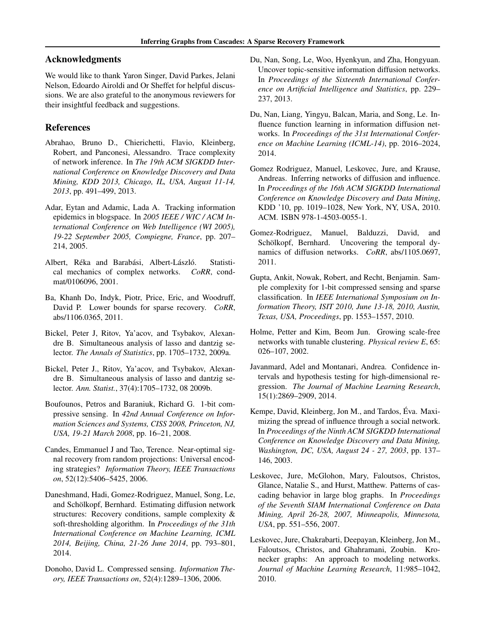# <span id="page-8-0"></span>Acknowledgments

We would like to thank Yaron Singer, David Parkes, Jelani Nelson, Edoardo Airoldi and Or Sheffet for helpful discussions. We are also grateful to the anonymous reviewers for their insightful feedback and suggestions.

# References

- Abrahao, Bruno D., Chierichetti, Flavio, Kleinberg, Robert, and Panconesi, Alessandro. Trace complexity of network inference. In *The 19th ACM SIGKDD International Conference on Knowledge Discovery and Data Mining, KDD 2013, Chicago, IL, USA, August 11-14, 2013*, pp. 491–499, 2013.
- Adar, Eytan and Adamic, Lada A. Tracking information epidemics in blogspace. In *2005 IEEE / WIC / ACM International Conference on Web Intelligence (WI 2005), 19-22 September 2005, Compiegne, France*, pp. 207– 214, 2005.
- Albert, Réka and Barabási, Albert-László. Statistical mechanics of complex networks. *CoRR*, condmat/0106096, 2001.
- Ba, Khanh Do, Indyk, Piotr, Price, Eric, and Woodruff, David P. Lower bounds for sparse recovery. *CoRR*, abs/1106.0365, 2011.
- Bickel, Peter J, Ritov, Ya'acov, and Tsybakov, Alexandre B. Simultaneous analysis of lasso and dantzig selector. *The Annals of Statistics*, pp. 1705–1732, 2009a.
- Bickel, Peter J., Ritov, Ya'acov, and Tsybakov, Alexandre B. Simultaneous analysis of lasso and dantzig selector. *Ann. Statist.*, 37(4):1705–1732, 08 2009b.
- Boufounos, Petros and Baraniuk, Richard G. 1-bit compressive sensing. In *42nd Annual Conference on Information Sciences and Systems, CISS 2008, Princeton, NJ, USA, 19-21 March 2008*, pp. 16–21, 2008.
- Candes, Emmanuel J and Tao, Terence. Near-optimal signal recovery from random projections: Universal encoding strategies? *Information Theory, IEEE Transactions on*, 52(12):5406–5425, 2006.
- Daneshmand, Hadi, Gomez-Rodriguez, Manuel, Song, Le, and Schölkopf, Bernhard. Estimating diffusion network structures: Recovery conditions, sample complexity & soft-thresholding algorithm. In *Proceedings of the 31th International Conference on Machine Learning, ICML 2014, Beijing, China, 21-26 June 2014*, pp. 793–801, 2014.
- Donoho, David L. Compressed sensing. *Information Theory, IEEE Transactions on*, 52(4):1289–1306, 2006.
- Du, Nan, Song, Le, Woo, Hyenkyun, and Zha, Hongyuan. Uncover topic-sensitive information diffusion networks. In *Proceedings of the Sixteenth International Conference on Artificial Intelligence and Statistics*, pp. 229– 237, 2013.
- Du, Nan, Liang, Yingyu, Balcan, Maria, and Song, Le. Influence function learning in information diffusion networks. In *Proceedings of the 31st International Conference on Machine Learning (ICML-14)*, pp. 2016–2024, 2014.
- Gomez Rodriguez, Manuel, Leskovec, Jure, and Krause, Andreas. Inferring networks of diffusion and influence. In *Proceedings of the 16th ACM SIGKDD International Conference on Knowledge Discovery and Data Mining*, KDD '10, pp. 1019–1028, New York, NY, USA, 2010. ACM. ISBN 978-1-4503-0055-1.
- Gomez-Rodriguez, Manuel, Balduzzi, David, and Schölkopf, Bernhard. Uncovering the temporal dynamics of diffusion networks. *CoRR*, abs/1105.0697, 2011.
- Gupta, Ankit, Nowak, Robert, and Recht, Benjamin. Sample complexity for 1-bit compressed sensing and sparse classification. In *IEEE International Symposium on Information Theory, ISIT 2010, June 13-18, 2010, Austin, Texas, USA, Proceedings*, pp. 1553–1557, 2010.
- Holme, Petter and Kim, Beom Jun. Growing scale-free networks with tunable clustering. *Physical review E*, 65: 026–107, 2002.
- Javanmard, Adel and Montanari, Andrea. Confidence intervals and hypothesis testing for high-dimensional regression. *The Journal of Machine Learning Research*, 15(1):2869–2909, 2014.
- Kempe, David, Kleinberg, Jon M., and Tardos, Éva. Maximizing the spread of influence through a social network. In *Proceedings of the Ninth ACM SIGKDD International Conference on Knowledge Discovery and Data Mining, Washington, DC, USA, August 24 - 27, 2003*, pp. 137– 146, 2003.
- Leskovec, Jure, McGlohon, Mary, Faloutsos, Christos, Glance, Natalie S., and Hurst, Matthew. Patterns of cascading behavior in large blog graphs. In *Proceedings of the Seventh SIAM International Conference on Data Mining, April 26-28, 2007, Minneapolis, Minnesota, USA*, pp. 551–556, 2007.
- Leskovec, Jure, Chakrabarti, Deepayan, Kleinberg, Jon M., Faloutsos, Christos, and Ghahramani, Zoubin. Kronecker graphs: An approach to modeling networks. *Journal of Machine Learning Research*, 11:985–1042, 2010.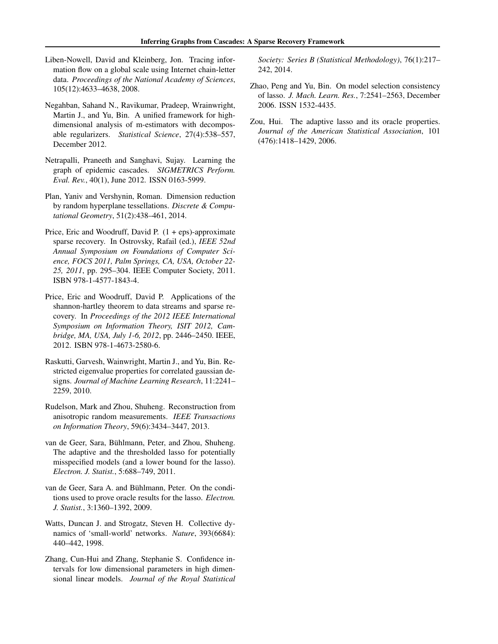- <span id="page-9-0"></span>Liben-Nowell, David and Kleinberg, Jon. Tracing information flow on a global scale using Internet chain-letter data. *Proceedings of the National Academy of Sciences*, 105(12):4633–4638, 2008.
- Negahban, Sahand N., Ravikumar, Pradeep, Wrainwright, Martin J., and Yu, Bin. A unified framework for highdimensional analysis of m-estimators with decomposable regularizers. *Statistical Science*, 27(4):538–557, December 2012.
- Netrapalli, Praneeth and Sanghavi, Sujay. Learning the graph of epidemic cascades. *SIGMETRICS Perform. Eval. Rev.*, 40(1), June 2012. ISSN 0163-5999.
- Plan, Yaniv and Vershynin, Roman. Dimension reduction by random hyperplane tessellations. *Discrete & Computational Geometry*, 51(2):438–461, 2014.
- Price, Eric and Woodruff, David P. (1 + eps)-approximate sparse recovery. In Ostrovsky, Rafail (ed.), *IEEE 52nd Annual Symposium on Foundations of Computer Science, FOCS 2011, Palm Springs, CA, USA, October 22- 25, 2011*, pp. 295–304. IEEE Computer Society, 2011. ISBN 978-1-4577-1843-4.
- Price, Eric and Woodruff, David P. Applications of the shannon-hartley theorem to data streams and sparse recovery. In *Proceedings of the 2012 IEEE International Symposium on Information Theory, ISIT 2012, Cambridge, MA, USA, July 1-6, 2012*, pp. 2446–2450. IEEE, 2012. ISBN 978-1-4673-2580-6.
- Raskutti, Garvesh, Wainwright, Martin J., and Yu, Bin. Restricted eigenvalue properties for correlated gaussian designs. *Journal of Machine Learning Research*, 11:2241– 2259, 2010.
- Rudelson, Mark and Zhou, Shuheng. Reconstruction from anisotropic random measurements. *IEEE Transactions on Information Theory*, 59(6):3434–3447, 2013.
- van de Geer, Sara, Bühlmann, Peter, and Zhou, Shuheng. The adaptive and the thresholded lasso for potentially misspecified models (and a lower bound for the lasso). *Electron. J. Statist.*, 5:688–749, 2011.
- van de Geer, Sara A. and Bühlmann, Peter. On the conditions used to prove oracle results for the lasso. *Electron. J. Statist.*, 3:1360–1392, 2009.
- Watts, Duncan J. and Strogatz, Steven H. Collective dynamics of 'small-world' networks. *Nature*, 393(6684): 440–442, 1998.
- Zhang, Cun-Hui and Zhang, Stephanie S. Confidence intervals for low dimensional parameters in high dimensional linear models. *Journal of the Royal Statistical*

*Society: Series B (Statistical Methodology)*, 76(1):217– 242, 2014.

- Zhao, Peng and Yu, Bin. On model selection consistency of lasso. *J. Mach. Learn. Res.*, 7:2541–2563, December 2006. ISSN 1532-4435.
- Zou, Hui. The adaptive lasso and its oracle properties. *Journal of the American Statistical Association*, 101 (476):1418–1429, 2006.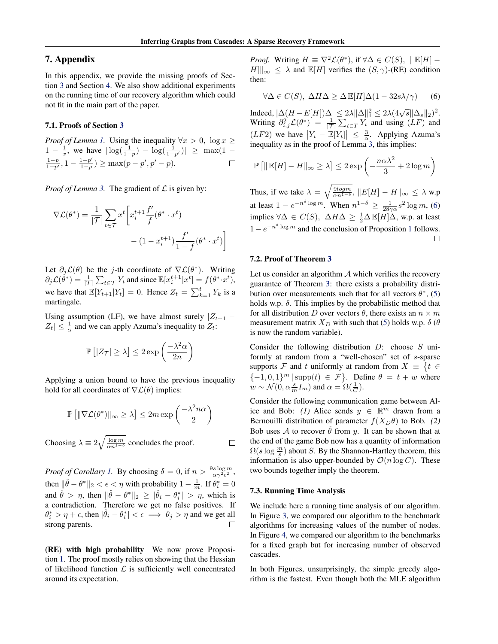# 7. Appendix

In this appendix, we provide the missing proofs of Section [3](#page-4-0) and Section [4.](#page-6-0) We also show additional experiments on the running time of our recovery algorithm which could not fit in the main part of the paper.

#### 7.1. Proofs of Section [3](#page-4-0)

*Proof of Lemma [1.](#page-2-0)* Using the inequality  $\forall x > 0$ ,  $\log x \geq 0$  $1 - \frac{1}{x}$ , we have  $|\log(\frac{1}{1-p}) - \log(\frac{1}{1-p'})| \ge \max(1 - \frac{1}{x})$  $\frac{1-p}{1-p'}$ ,  $1-\frac{1-p'}{1-p}$  $\frac{1-p'}{1-p}$ ) ≥ max $(p-p', p'-p)$ .  $\Box$ 

*Proof of Lemma [3.](#page-4-0)* The gradient of  $\mathcal{L}$  is given by:

$$
\nabla \mathcal{L}(\theta^*) = \frac{1}{|\mathcal{T}|} \sum_{t \in \mathcal{T}} x^t \left[ x_i^{t+1} \frac{f'}{f} (\theta^* \cdot x^t) - (1 - x_i^{t+1}) \frac{f'}{1 - f} (\theta^* \cdot x^t) \right]
$$

Let  $\partial_j \mathcal{L}(\theta)$  be the j-th coordinate of  $\nabla \mathcal{L}(\theta^*)$ . Writing  $\partial_j \mathcal{L}(\theta^*) = \frac{1}{|\mathcal{T}|} \sum_{t \in \mathcal{T}} Y_t$  and since  $\mathbb{E}[x_i^{t+1}|x^t] = f(\theta^* \cdot x^t)$ , we have that  $\mathbb{E}[Y_{t+1}|Y_t] = 0$ . Hence  $Z_t = \sum_{k=1}^t Y_k$  is a martingale.

Using assumption (LF), we have almost surely  $|Z_{t+1} |Z_t| \leq \frac{1}{\alpha}$  and we can apply Azuma's inequality to  $Z_t$ :

$$
\mathbb{P}\left[|Z_{\mathcal{T}}| \ge \lambda\right] \le 2\exp\left(\frac{-\lambda^2\alpha}{2n}\right)
$$

Applying a union bound to have the previous inequality hold for all coordinates of  $\nabla \mathcal{L}(\theta)$  implies:

$$
\mathbb{P}\left[\|\nabla \mathcal{L}(\theta^*)\|_{\infty} \geq \lambda\right] \leq 2m \exp\left(\frac{-\lambda^2 n \alpha}{2}\right)
$$

Choosing 
$$
\lambda \equiv 2\sqrt{\frac{\log m}{\alpha n^{1-\delta}}}
$$
 concludes the proof.

*Proof of Corollary [1.](#page-5-0)* By choosing  $\delta = 0$ , if  $n > \frac{9s \log m}{\alpha \gamma^2 \epsilon^2}$ , then  $\|\hat{\theta} - \theta^*\|_2 < \epsilon < \eta$  with probability  $1 - \frac{1}{m}$ . If  $\theta_i^* = 0$ and  $\hat{\theta} > \eta$ , then  $\|\hat{\theta} - \theta^*\|_2 \geq |\hat{\theta}_i - \theta_i^*| > \eta$ , which is a contradiction. Therefore we get no false positives. If  $\theta_i^* > \eta + \epsilon$ , then  $|\hat{\theta}_i - \theta_i^*| < \epsilon \implies \theta_j > \eta$  and we get all strong parents. П

(RE) with high probability We now prove Proposition [1.](#page-5-0) The proof mostly relies on showing that the Hessian of likelihood function  $\mathcal L$  is sufficiently well concentrated around its expectation.

*Proof.* Writing  $H \equiv \nabla^2 \mathcal{L}(\theta^*)$ , if  $\forall \Delta \in C(S)$ ,  $\|\mathbb{E}[H]$  –  $H\|x\|_{\infty} \leq \lambda$  and  $\mathbb{E}[H]$  verifies the  $(S, \gamma)$ -(RE) condition then:

$$
\forall \Delta \in C(S), \ \Delta H \Delta \ge \Delta \mathbb{E}[H] \Delta (1 - 32s\lambda/\gamma) \tag{6}
$$

Indeed,  $|\Delta(H - E[H])\Delta| \leq 2\lambda \|\Delta\|_1^2 \leq 2\lambda (4\sqrt{s}\|\Delta_s\|_2)^2$ . Writing  $\partial_{i,j}^2 \mathcal{L}(\theta^*) = \frac{1}{|\mathcal{T}|} \sum_{t \in \mathcal{T}} Y_t$  and using  $(LF)$  and  $(LF2)$  we have  $|Y_t - \mathbb{E}[Y_t]| \leq \frac{3}{\alpha}$ . Applying Azuma's inequality as in the proof of Lemma [3,](#page-4-0) this implies:

$$
\mathbb{P}\left[\|\mathbb{E}[H] - H\|_{\infty} \ge \lambda\right] \le 2\exp\left(-\frac{n\alpha\lambda^2}{3} + 2\log m\right)
$$

Thus, if we take  $\lambda = \sqrt{\frac{9logm}{\alpha n^{1-\delta}}}$ ,  $||E[H] - H||_{\infty} \leq \lambda$  w.p at least  $1 - e^{-n^{\delta} \log m}$ . When  $n^{1-\delta} \ge \frac{1}{28\gamma \alpha} s^2 \log m$ , (6) implies  $\forall \Delta \in C(S)$ ,  $\Delta H \Delta \geq \frac{1}{2} \Delta \mathbb{E}[H] \Delta$ , w.p. at least  $1 - e^{-n^{\delta} \log m}$  $1 - e^{-n^{\delta} \log m}$  and the conclusion of Proposition 1 follows.  $\Box$ 

#### 7.2. Proof of Theorem [3](#page-6-0)

Let us consider an algorithm  $A$  which verifies the recovery guarantee of Theorem [3:](#page-6-0) there exists a probability distribution over measurements such that for all vectors  $\theta^*$ , [\(5\)](#page-6-0) holds w.p.  $\delta$ . This implies by the probabilistic method that for all distribution D over vectors  $\theta$ , there exists an  $n \times m$ measurement matrix  $X_D$  with such that [\(5\)](#page-6-0) holds w.p.  $\delta(\theta)$ is now the random variable).

Consider the following distribution  $D$ : choose  $S$  uniformly at random from a "well-chosen" set of s-sparse supports F and t uniformly at random from  $X \equiv \{t \in$  $\{-1,0,1\}^m$  | supp $(t) \in \mathcal{F}\}$ . Define  $\theta = t + w$  where  $w \sim \mathcal{N}(0, \alpha \frac{s}{m} I_m)$  and  $\alpha = \Omega(\frac{1}{C})$ .

Consider the following communication game between Alice and Bob: (1) Alice sends  $y \in \mathbb{R}^m$  drawn from a Bernouilli distribution of parameter  $f(X_D \theta)$  to Bob. (2) Bob uses A to recover  $\theta$  from y. It can be shown that at the end of the game Bob now has a quantity of information  $\Omega(s \log \frac{m}{s})$  about S. By the Shannon-Hartley theorem, this information is also upper-bounded by  $\mathcal{O}(n \log C)$ . These two bounds together imply the theorem.

#### 7.3. Running Time Analysis

We include here a running time analysis of our algorithm. In Figure [3,](#page-11-0) we compared our algorithm to the benchmark algorithms for increasing values of the number of nodes. In Figure [4,](#page-11-0) we compared our algorithm to the benchmarks for a fixed graph but for increasing number of observed cascades.

In both Figures, unsurprisingly, the simple greedy algorithm is the fastest. Even though both the MLE algorithm